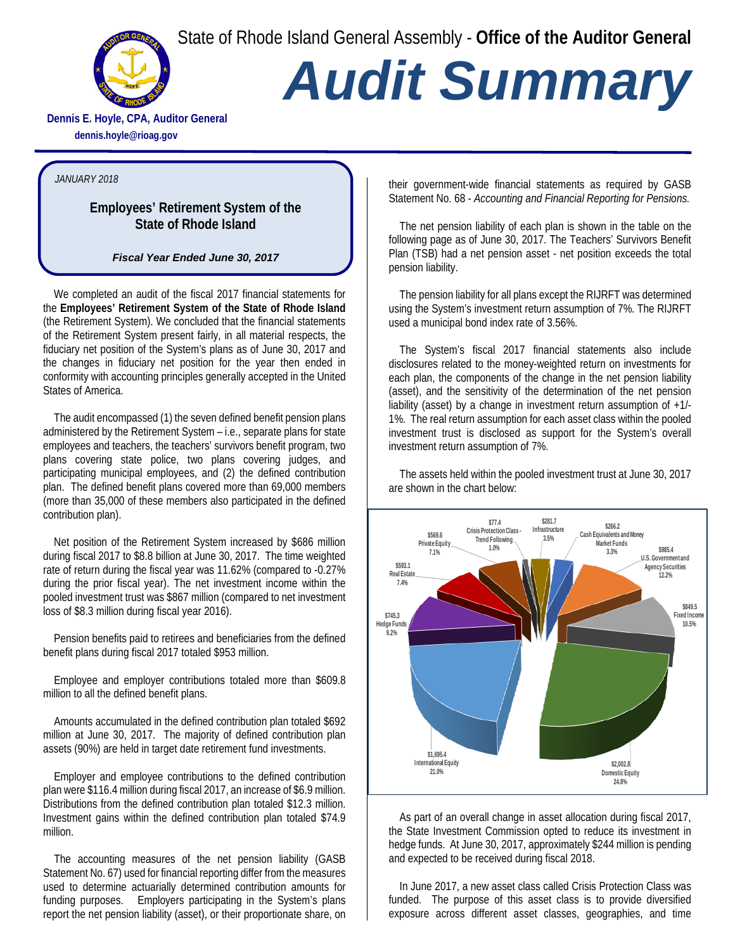State of Rhode Island General Assembly - **Office of the Auditor General**



## *Audit Summary*

**Dennis E. Hoyle, CPA, Auditor General dennis.hoyle@rioag.gov**

## *JANUARY 2018*

## **Employees' Retirement System of the State of Rhode Island**

*Fiscal Year Ended June 30, 2017*

We completed an audit of the fiscal 2017 financial statements for the **Employees' Retirement System of the State of Rhode Island** (the Retirement System). We concluded that the financial statements of the Retirement System present fairly, in all material respects, the fiduciary net position of the System's plans as of June 30, 2017 and the changes in fiduciary net position for the year then ended in conformity with accounting principles generally accepted in the United States of America.

The audit encompassed (1) the seven defined benefit pension plans administered by the Retirement System – i.e., separate plans for state employees and teachers, the teachers' survivors benefit program, two plans covering state police, two plans covering judges, and participating municipal employees, and (2) the defined contribution plan. The defined benefit plans covered more than 69,000 members (more than 35,000 of these members also participated in the defined contribution plan).

Net position of the Retirement System increased by \$686 million during fiscal 2017 to \$8.8 billion at June 30, 2017. The time weighted rate of return during the fiscal year was 11.62% (compared to -0.27% during the prior fiscal year). The net investment income within the pooled investment trust was \$867 million (compared to net investment loss of \$8.3 million during fiscal year 2016).

Pension benefits paid to retirees and beneficiaries from the defined benefit plans during fiscal 2017 totaled \$953 million.

Employee and employer contributions totaled more than \$609.8 million to all the defined benefit plans.

Amounts accumulated in the defined contribution plan totaled \$692 million at June 30, 2017. The majority of defined contribution plan assets (90%) are held in target date retirement fund investments.

Employer and employee contributions to the defined contribution plan were \$116.4 million during fiscal 2017, an increase of \$6.9 million. Distributions from the defined contribution plan totaled \$12.3 million. Investment gains within the defined contribution plan totaled \$74.9 million.

The accounting measures of the net pension liability (GASB Statement No. 67) used for financial reporting differ from the measures used to determine actuarially determined contribution amounts for funding purposes. Employers participating in the System's plans report the net pension liability (asset), or their proportionate share, on their government-wide financial statements as required by GASB Statement No. 68 - *Accounting and Financial Reporting for Pensions.*

The net pension liability of each plan is shown in the table on the following page as of June 30, 2017. The Teachers' Survivors Benefit Plan (TSB) had a net pension asset - net position exceeds the total pension liability.

The pension liability for all plans except the RIJRFT was determined using the System's investment return assumption of 7%. The RIJRFT used a municipal bond index rate of 3.56%.

The System's fiscal 2017 financial statements also include disclosures related to the money-weighted return on investments for each plan, the components of the change in the net pension liability (asset), and the sensitivity of the determination of the net pension liability (asset) by a change in investment return assumption of +1/- 1%. The real return assumption for each asset class within the pooled investment trust is disclosed as support for the System's overall investment return assumption of 7%.

The assets held within the pooled investment trust at June 30, 2017 are shown in the chart below:



As part of an overall change in asset allocation during fiscal 2017, the State Investment Commission opted to reduce its investment in hedge funds. At June 30, 2017, approximately \$244 million is pending and expected to be received during fiscal 2018.

In June 2017, a new asset class called Crisis Protection Class was funded. The purpose of this asset class is to provide diversified exposure across different asset classes, geographies, and time